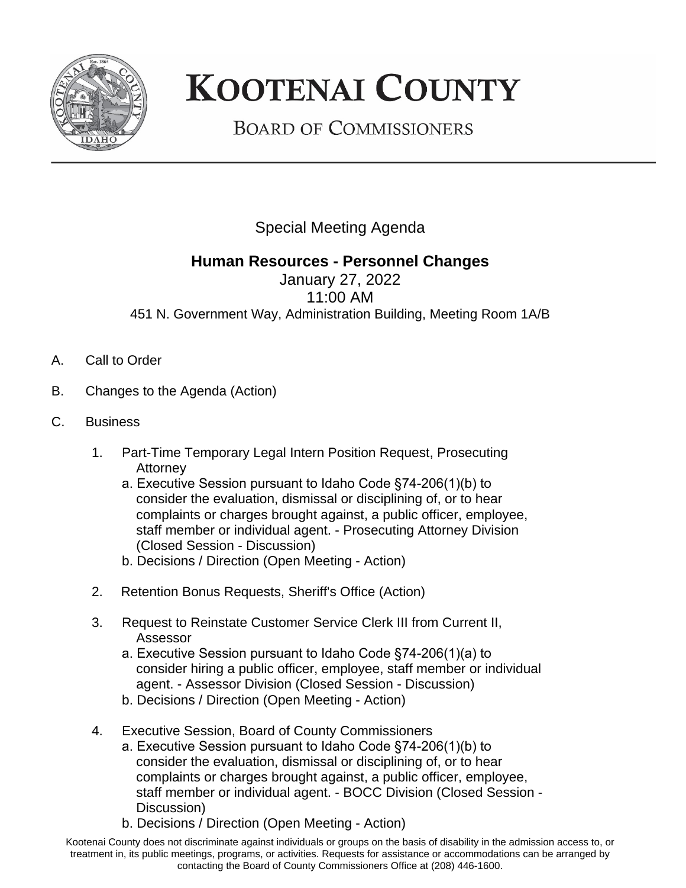

## **KOOTENAI COUNTY**

**BOARD OF COMMISSIONERS** 

Special Meeting Agenda

## **Human Resources - Personnel Changes**

January 27, 2022 11:00 AM 451 N. Government Way, Administration Building, Meeting Room 1A/B

- A. Call to Order
- B. Changes to the Agenda (Action)
- C. Business
	- 1. Part-Time Temporary Legal Intern Position Request, Prosecuting **Attorney** 
		- a. Executive Session pursuant to Idaho Code §74-206(1)(b) to consider the evaluation, dismissal or disciplining of, or to hear complaints or charges brought against, a public officer, employee, staff member or individual agent. - Prosecuting Attorney Division (Closed Session - Discussion)
		- b. Decisions / Direction (Open Meeting Action)
	- 2. Retention Bonus Requests, Sheriff's Office (Action)
	- 3. Request to Reinstate Customer Service Clerk III from Current II, Assessor
		- a. Executive Session pursuant to Idaho Code §74-206(1)(a) to consider hiring a public officer, employee, staff member or individual agent. - Assessor Division (Closed Session - Discussion)
		- b. Decisions / Direction (Open Meeting Action)
	- 4. Executive Session, Board of County Commissioners
		- a. Executive Session pursuant to Idaho Code §74-206(1)(b) to consider the evaluation, dismissal or disciplining of, or to hear complaints or charges brought against, a public officer, employee, staff member or individual agent. - BOCC Division (Closed Session - Discussion)
		- b. Decisions / Direction (Open Meeting Action)